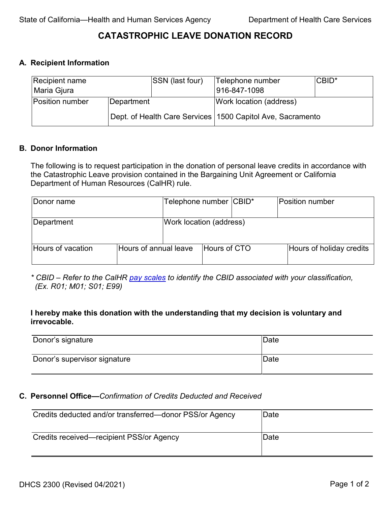# **CATASTROPHIC LEAVE DONATION RECORD**

### **A. Recipient Information**

| Recipient name<br>Maria Gjura |            | <b>SSN</b> (last four) | Telephone number<br>916-847-1098                             | <b>CBID*</b> |  |
|-------------------------------|------------|------------------------|--------------------------------------------------------------|--------------|--|
| <b>Position number</b>        | Department |                        | Work location (address)                                      |              |  |
|                               |            |                        | Dept. of Health Care Services   1500 Capitol Ave, Sacramento |              |  |

#### **B. Donor Information**

The following is to request participation in the donation of personal leave credits in accordance with the Catastrophic Leave provision contained in the Bargaining Unit Agreement or California Department of Human Resources (CalHR) rule.

| Donor name        |                       | Telephone number CBID*  |                     | <b>Position number</b>   |
|-------------------|-----------------------|-------------------------|---------------------|--------------------------|
| Department        |                       | Work location (address) |                     |                          |
| Hours of vacation | Hours of annual leave |                         | <b>Hours of CTO</b> | Hours of holiday credits |

*\* CBID – Refer to the CalHR [pay scales](https://www.calhr.ca.gov/Pay%20Scales%20Library/PS_Sec_15.pdf) to identify the CBID associated with your classification, (Ex. R01; M01; S01; E99)*

### **I hereby make this donation with the understanding that my decision is voluntary and irrevocable.**

| Donor's signature            | Date |
|------------------------------|------|
| Donor's supervisor signature | Date |

#### **C. Personnel Office—***Confirmation of Credits Deducted and Received*

| Credits deducted and/or transferred—donor PSS/or Agency | Date |
|---------------------------------------------------------|------|
| Credits received—recipient PSS/or Agency                | Date |